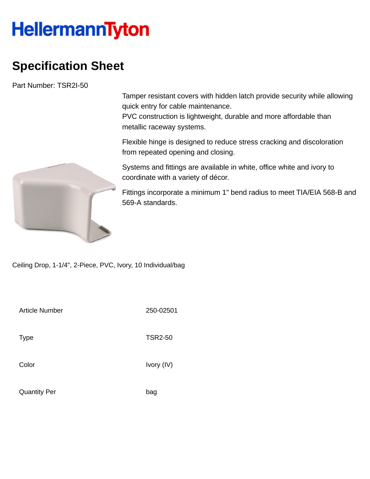## **HellermannTyton**

## **Specification Sheet**

Part Number: TSR2I-50

Tamper resistant covers with hidden latch provide security while allowing quick entry for cable maintenance.

PVC construction is lightweight, durable and more affordable than metallic raceway systems.

Flexible hinge is designed to reduce stress cracking and discoloration from repeated opening and closing.

Systems and fittings are available in white, office white and ivory to coordinate with a variety of décor.

Fittings incorporate a minimum 1" bend radius to meet TIA/EIA 568-B and 569-A standards.

Ceiling Drop, 1-1/4", 2-Piece, PVC, Ivory, 10 Individual/bag

| <b>Article Number</b> | 250-02501      |
|-----------------------|----------------|
| <b>Type</b>           | <b>TSR2-50</b> |
| Color                 | Ivory (IV)     |
| <b>Quantity Per</b>   | bag            |

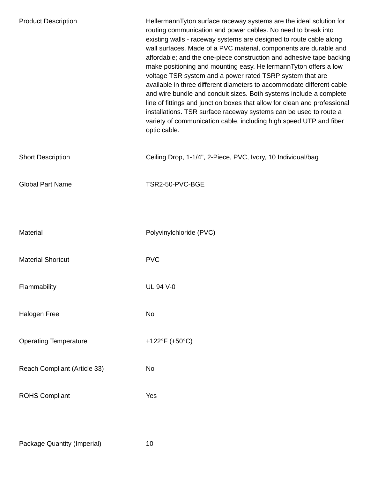| <b>Product Description</b>   | HellermannTyton surface raceway systems are the ideal solution for<br>routing communication and power cables. No need to break into<br>existing walls - raceway systems are designed to route cable along<br>wall surfaces. Made of a PVC material, components are durable and<br>affordable; and the one-piece construction and adhesive tape backing<br>make positioning and mounting easy. HellermannTyton offers a low<br>voltage TSR system and a power rated TSRP system that are<br>available in three different diameters to accommodate different cable<br>and wire bundle and conduit sizes. Both systems include a complete<br>line of fittings and junction boxes that allow for clean and professional<br>installations. TSR surface raceway systems can be used to route a<br>variety of communication cable, including high speed UTP and fiber<br>optic cable. |
|------------------------------|--------------------------------------------------------------------------------------------------------------------------------------------------------------------------------------------------------------------------------------------------------------------------------------------------------------------------------------------------------------------------------------------------------------------------------------------------------------------------------------------------------------------------------------------------------------------------------------------------------------------------------------------------------------------------------------------------------------------------------------------------------------------------------------------------------------------------------------------------------------------------------|
| <b>Short Description</b>     | Ceiling Drop, 1-1/4", 2-Piece, PVC, Ivory, 10 Individual/bag                                                                                                                                                                                                                                                                                                                                                                                                                                                                                                                                                                                                                                                                                                                                                                                                                   |
| <b>Global Part Name</b>      | TSR2-50-PVC-BGE                                                                                                                                                                                                                                                                                                                                                                                                                                                                                                                                                                                                                                                                                                                                                                                                                                                                |
|                              |                                                                                                                                                                                                                                                                                                                                                                                                                                                                                                                                                                                                                                                                                                                                                                                                                                                                                |
| <b>Material</b>              | Polyvinylchloride (PVC)                                                                                                                                                                                                                                                                                                                                                                                                                                                                                                                                                                                                                                                                                                                                                                                                                                                        |
| <b>Material Shortcut</b>     | <b>PVC</b>                                                                                                                                                                                                                                                                                                                                                                                                                                                                                                                                                                                                                                                                                                                                                                                                                                                                     |
| Flammability                 | <b>UL 94 V-0</b>                                                                                                                                                                                                                                                                                                                                                                                                                                                                                                                                                                                                                                                                                                                                                                                                                                                               |
| Halogen Free                 | No                                                                                                                                                                                                                                                                                                                                                                                                                                                                                                                                                                                                                                                                                                                                                                                                                                                                             |
| <b>Operating Temperature</b> | +122°F (+50°C)                                                                                                                                                                                                                                                                                                                                                                                                                                                                                                                                                                                                                                                                                                                                                                                                                                                                 |
| Reach Compliant (Article 33) | <b>No</b>                                                                                                                                                                                                                                                                                                                                                                                                                                                                                                                                                                                                                                                                                                                                                                                                                                                                      |
| <b>ROHS Compliant</b>        | Yes                                                                                                                                                                                                                                                                                                                                                                                                                                                                                                                                                                                                                                                                                                                                                                                                                                                                            |
|                              |                                                                                                                                                                                                                                                                                                                                                                                                                                                                                                                                                                                                                                                                                                                                                                                                                                                                                |

Package Quantity (Imperial) 10